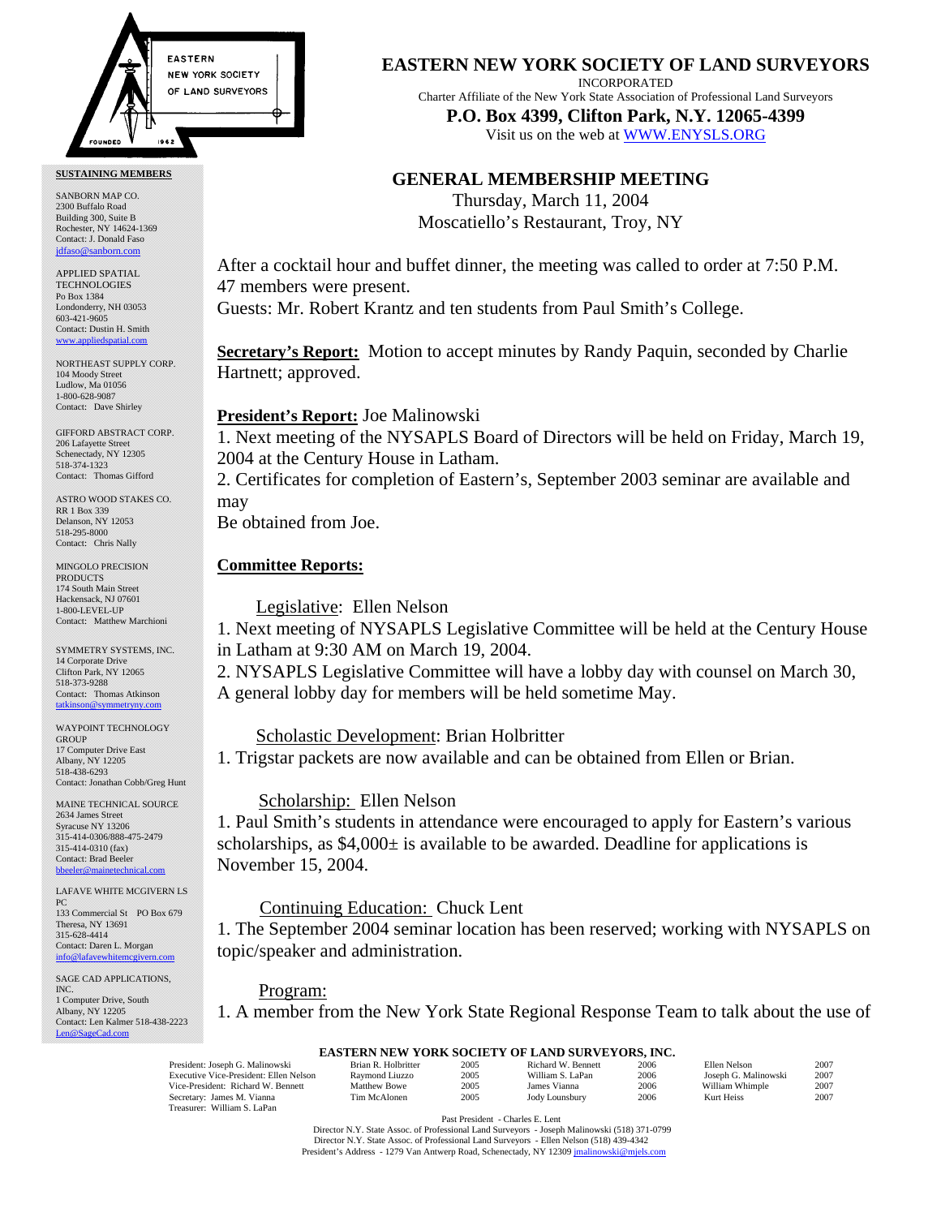

#### **SUSTAINING MEMBERS**

SANBORN MAP CO. 2300 Buffalo Road Building 300, Suite B Rochester, NY 14624-1369 Contact: J. Donald Faso [jdfaso@sanborn.com](mailto:jdfaso@sanborn.com)

APPLIED SPATIAL **TECHNOLOGIES** Po Box 1384 Londonderry, NH 03053 603-421-9605 Contact: Dustin H. Smith <www.appliedspatial.com>

NORTHEAST SUPPLY CORP. 104 Moody Street Ludlow, Ma 01056 1-800-628-9087 Contact: Dave Shirley

GIFFORD ABSTRACT CORP. 206 Lafayette Street Schenectady, NY 12305 518-374-1323 Contact: Thomas Gifford

ASTRO WOOD STAKES CO. RR 1 Box 339 Delanson, NY 12053 518-295-8000 Contact: Chris Nally

MINGOLO PRECISION PRODUCTS 174 South Main Street Hackensack, NJ 07601 1-800-LEVEL-UP Contact: Matthew Marchioni

SYMMETRY SYSTEMS, INC. 14 Corporate Drive Clifton Park, NY 12065 518-373-9288 Contact: Thomas Atkinson [tatkinson@symmetryny.com](mailto:tatkinson@symmetryny.com)

WAYPOINT TECHNOLOGY GROUP 17 Computer Drive East Albany, NY 12205 518-438-6293 Contact: Jonathan Cobb/Greg Hunt

MAINE TECHNICAL SOURCE 2634 James Street Syracuse NY 13206 315-414-0306/888-475-2479 315-414-0310 (fax) Contact: Brad Beeler  $b$ bbeeler@

LAFAVE WHITE MCGIVERN LS PC 133 Commercial St PO Box 679 Theresa, NY 13691 315-628-4414 Contact: Daren L. Morgan [info@lafavewhitemcgivern.com](MAILTO:info@lafavewhitemcgivern.com)

SAGE CAD APPLICATIONS, INC. 1 Computer Drive, South Albany, NY 12205 Contact: Len Kalmer 518-438-2223 [Len@SageCad.com](MAILTO:Len@SageCad.com)

**EASTERN NEW YORK SOCIETY OF LAND SURVEYORS**

INCORPORATED

Charter Affiliate of the New York State Association of Professional Land Surveyors **P.O. Box 4399, Clifton Park, N.Y. 12065-4399**  Visit us on the web a[t WWW.ENYSLS.ORG](www.enysls.org)

# **GENERAL MEMBERSHIP MEETING**

Thursday, March 11, 2004 Moscatiello's Restaurant, Troy, NY

After a cocktail hour and buffet dinner, the meeting was called to order at 7:50 P.M. 47 members were present.

Guests: Mr. Robert Krantz and ten students from Paul Smith's College.

**Secretary's Report:** Motion to accept minutes by Randy Paquin, seconded by Charlie Hartnett; approved.

# **President's Report:** Joe Malinowski

1. Next meeting of the NYSAPLS Board of Directors will be held on Friday, March 19, 2004 at the Century House in Latham.

2. Certificates for completion of Eastern's, September 2003 seminar are available and may

Be obtained from Joe.

# **Committee Reports:**

Legislative: Ellen Nelson

1. Next meeting of NYSAPLS Legislative Committee will be held at the Century House in Latham at 9:30 AM on March 19, 2004.

2. NYSAPLS Legislative Committee will have a lobby day with counsel on March 30, A general lobby day for members will be held sometime May.

# Scholastic Development: Brian Holbritter

1. Trigstar packets are now available and can be obtained from Ellen or Brian.

## Scholarship: Ellen Nelson

1. Paul Smith's students in attendance were encouraged to apply for Eastern's various scholarships, as  $$4,000\pm$  is available to be awarded. Deadline for applications is November 15, 2004.

## Continuing Education: Chuck Lent

1. The September 2004 seminar location has been reserved; working with NYSAPLS on topic/speaker and administration.

#### Program:

1. A member from the New York State Regional Response Team to talk about the use of

#### **EASTERN NEW YORK SOCIETY OF LAND SURVEYORS, INC.**

| President: Joseph G. Malinowski        | Brian R. Holbritter | 2005 | Richard W. Bennett | 2006 | Ellen Nelson         | 2007 |
|----------------------------------------|---------------------|------|--------------------|------|----------------------|------|
| Executive Vice-President: Ellen Nelson | Raymond Liuzzo      | 2005 | William S. LaPan   | 2006 | Joseph G. Malinowski | 2007 |
| Vice-President: Richard W. Bennett     | <b>Matthew Bowe</b> | 2005 | James Vianna       | 2006 | William Whimple      | 2007 |
| Secretary: James M. Vianna             | Tim McAlonen        | 2005 | Jody Lounsbury     | 2006 | Kurt Heiss           | 2007 |
| Treasurer: William S. LaPan            |                     |      |                    |      |                      |      |

Past President - Charles E. Lent

 Director N.Y. State Assoc. of Professional Land Surveyors - Joseph Malinowski (518) 371-0799 Director N.Y. State Assoc. of Professional Land Surveyors - Ellen Nelson (518) 439-4342<br>esident's Address - 1279 Van Antwerp Road. Schenectady. NY 12309 imalinowski@miels. President's Address - 1279 Van Antwerp Road, Schenectady, NY 12309 jmali